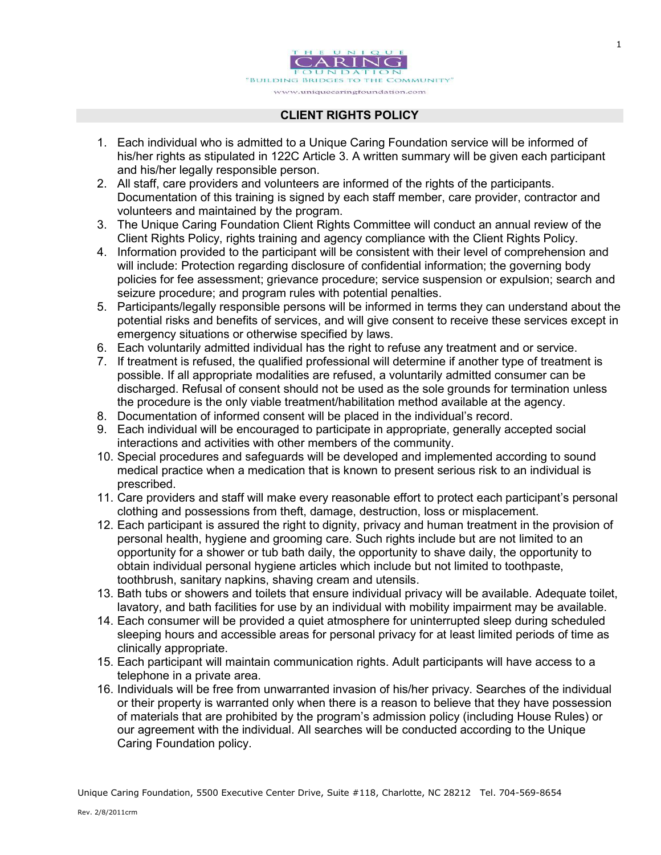

## CLIENT RIGHTS POLICY

- 1. Each individual who is admitted to a Unique Caring Foundation service will be informed of his/her rights as stipulated in 122C Article 3. A written summary will be given each participant and his/her legally responsible person.
- 2. All staff, care providers and volunteers are informed of the rights of the participants. Documentation of this training is signed by each staff member, care provider, contractor and volunteers and maintained by the program.
- 3. The Unique Caring Foundation Client Rights Committee will conduct an annual review of the Client Rights Policy, rights training and agency compliance with the Client Rights Policy.
- 4. Information provided to the participant will be consistent with their level of comprehension and will include: Protection regarding disclosure of confidential information; the governing body policies for fee assessment; grievance procedure; service suspension or expulsion; search and seizure procedure; and program rules with potential penalties.
- 5. Participants/legally responsible persons will be informed in terms they can understand about the potential risks and benefits of services, and will give consent to receive these services except in emergency situations or otherwise specified by laws.
- 6. Each voluntarily admitted individual has the right to refuse any treatment and or service.
- 7. If treatment is refused, the qualified professional will determine if another type of treatment is possible. If all appropriate modalities are refused, a voluntarily admitted consumer can be discharged. Refusal of consent should not be used as the sole grounds for termination unless the procedure is the only viable treatment/habilitation method available at the agency.
- 8. Documentation of informed consent will be placed in the individual's record.
- 9. Each individual will be encouraged to participate in appropriate, generally accepted social interactions and activities with other members of the community.
- 10. Special procedures and safeguards will be developed and implemented according to sound medical practice when a medication that is known to present serious risk to an individual is prescribed.
- 11. Care providers and staff will make every reasonable effort to protect each participant's personal clothing and possessions from theft, damage, destruction, loss or misplacement.
- 12. Each participant is assured the right to dignity, privacy and human treatment in the provision of personal health, hygiene and grooming care. Such rights include but are not limited to an opportunity for a shower or tub bath daily, the opportunity to shave daily, the opportunity to obtain individual personal hygiene articles which include but not limited to toothpaste, toothbrush, sanitary napkins, shaving cream and utensils.
- 13. Bath tubs or showers and toilets that ensure individual privacy will be available. Adequate toilet, lavatory, and bath facilities for use by an individual with mobility impairment may be available.
- 14. Each consumer will be provided a quiet atmosphere for uninterrupted sleep during scheduled sleeping hours and accessible areas for personal privacy for at least limited periods of time as clinically appropriate.
- 15. Each participant will maintain communication rights. Adult participants will have access to a telephone in a private area.
- 16. Individuals will be free from unwarranted invasion of his/her privacy. Searches of the individual or their property is warranted only when there is a reason to believe that they have possession of materials that are prohibited by the program's admission policy (including House Rules) or our agreement with the individual. All searches will be conducted according to the Unique Caring Foundation policy.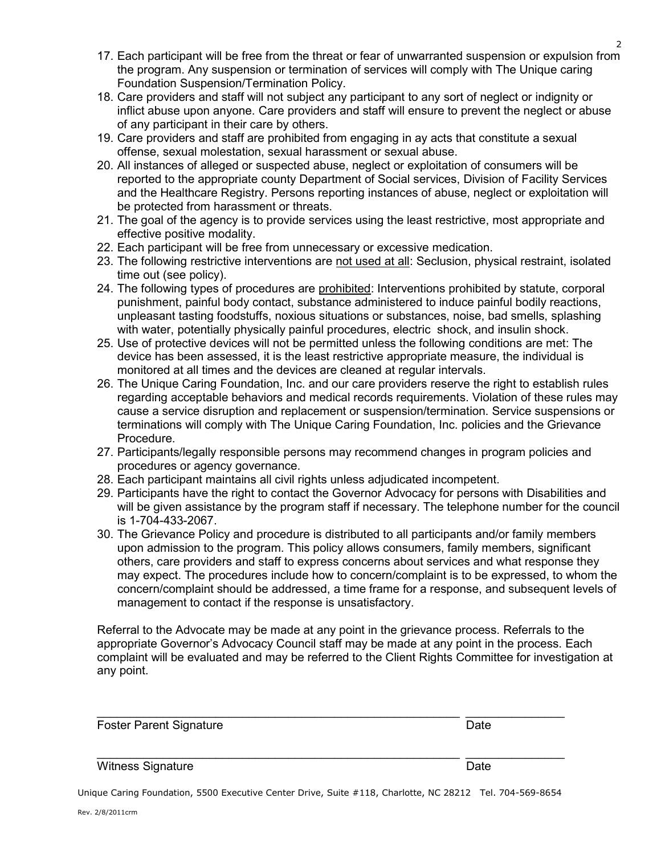$\overline{2}$ 

- 17. Each participant will be free from the threat or fear of unwarranted suspension or expulsion from the program. Any suspension or termination of services will comply with The Unique caring Foundation Suspension/Termination Policy.
- 18. Care providers and staff will not subject any participant to any sort of neglect or indignity or inflict abuse upon anyone. Care providers and staff will ensure to prevent the neglect or abuse of any participant in their care by others.
- 19. Care providers and staff are prohibited from engaging in ay acts that constitute a sexual offense, sexual molestation, sexual harassment or sexual abuse.
- 20. All instances of alleged or suspected abuse, neglect or exploitation of consumers will be reported to the appropriate county Department of Social services, Division of Facility Services and the Healthcare Registry. Persons reporting instances of abuse, neglect or exploitation will be protected from harassment or threats.
- 21. The goal of the agency is to provide services using the least restrictive, most appropriate and effective positive modality.
- 22. Each participant will be free from unnecessary or excessive medication.
- 23. The following restrictive interventions are not used at all: Seclusion, physical restraint, isolated time out (see policy).
- 24. The following types of procedures are prohibited: Interventions prohibited by statute, corporal punishment, painful body contact, substance administered to induce painful bodily reactions, unpleasant tasting foodstuffs, noxious situations or substances, noise, bad smells, splashing with water, potentially physically painful procedures, electric shock, and insulin shock.
- 25. Use of protective devices will not be permitted unless the following conditions are met: The device has been assessed, it is the least restrictive appropriate measure, the individual is monitored at all times and the devices are cleaned at regular intervals.
- 26. The Unique Caring Foundation, Inc. and our care providers reserve the right to establish rules regarding acceptable behaviors and medical records requirements. Violation of these rules may cause a service disruption and replacement or suspension/termination. Service suspensions or terminations will comply with The Unique Caring Foundation, Inc. policies and the Grievance Procedure.
- 27. Participants/legally responsible persons may recommend changes in program policies and procedures or agency governance.
- 28. Each participant maintains all civil rights unless adjudicated incompetent.
- 29. Participants have the right to contact the Governor Advocacy for persons with Disabilities and will be given assistance by the program staff if necessary. The telephone number for the council is 1-704-433-2067.
- 30. The Grievance Policy and procedure is distributed to all participants and/or family members upon admission to the program. This policy allows consumers, family members, significant others, care providers and staff to express concerns about services and what response they may expect. The procedures include how to concern/complaint is to be expressed, to whom the concern/complaint should be addressed, a time frame for a response, and subsequent levels of management to contact if the response is unsatisfactory.

Referral to the Advocate may be made at any point in the grievance process. Referrals to the appropriate Governor's Advocacy Council staff may be made at any point in the process. Each complaint will be evaluated and may be referred to the Client Rights Committee for investigation at any point.

| <b>Foster Parent Signature</b> | Date |
|--------------------------------|------|
| Witness Signature              | Date |

Unique Caring Foundation, 5500 Executive Center Drive, Suite #118, Charlotte, NC 28212 Tel. 704-569-8654